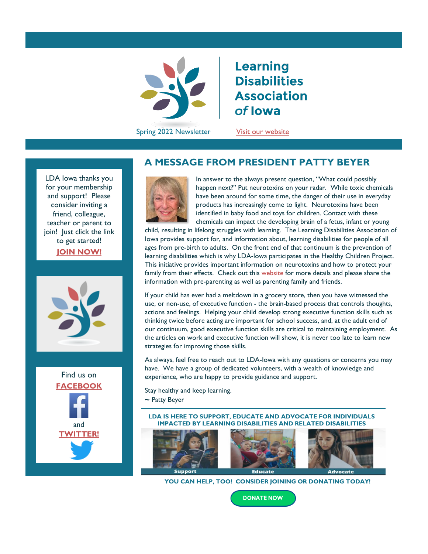

**Learning Disabilities Association** of lowa

Spring 2022 Newsletter Visit our website

p

LDA Iowa thanks you for your membership and support! Please consider inviting a friend, colleague, teacher or parent to join! Just click the link to get [started!](https://ldaiowa.org/membership/) **[JOIN NOW!](https://ldaiowa.org/membership/)**





## **A MESSAGE FROM PRESIDENT PATTY BEYER**



In answer to the always present question, "What could possibly happen next?" Put neurotoxins on your radar. While toxic chemicals have been around for some time, the danger of their use in everyday products has increasingly come to light. Neurotoxins have been identified in baby food and toys for children. Contact with these chemicals can impact the developing brain of a fetus, infant or young

child, resulting in lifelong struggles with learning. The Learning Disabilities Association of Iowa provides support for, and information about, learning disabilities for people of all ages from pre-birth to adults. On the front end of that continuum is the prevention of learning disabilities which is why LDA-Iowa participates in the Healthy Children Project. This initiative provides important information on neurotoxins and how to protect your family from their effects. Check out this [website](https://ldaiowa.org/news/healthy-children-project/) for more details and please share the information with pre-parenting as well as parenting family and friends.

If your child has ever had a meltdown in a grocery store, then you have witnessed the use, or non-use, of executive function - the brain-based process that controls thoughts, actions and feelings. Helping your child develop strong executive function skills such as thinking twice before acting are important for school success, and, at the adult end of our continuum, good executive function skills are critical to maintaining employment. As the articles on work and executive function will show, it is never too late to learn new strategies for improving those skills.

As always, feel free to reach out to LDA-Iowa with any questions or concerns you may have. We have a group of dedicated volunteers, with a wealth of knowledge and experience, who are happy to provide guidance and support.

Stay healthy and keep learning. **~** Patty Beyer

**LDA IS HERE TO SUPPORT, EDUCATE AND ADVOCATE FOR INDIVIDUALS IMPACTED BY LEARNING DISABILITIES AND RELATED DISABILITIES**



 **YOU CAN HELP, TOO! CONSIDER JOINING OR DONATING TODAY!**

**DONATE NOW**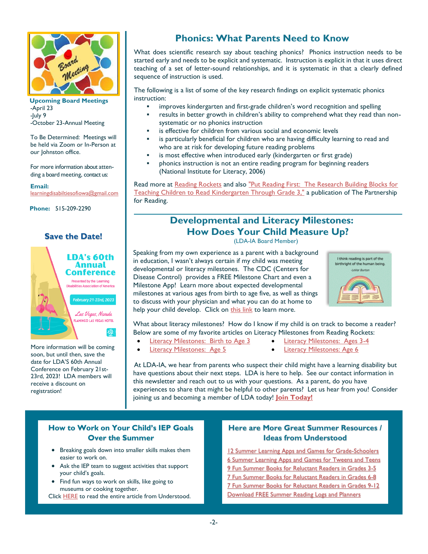

 **Upcoming Board Meetings** -April 23  $-luly$  9 -October 23-Annual Meeting

To Be Determined: Meetings will be held via Zoom or In-Person at our Johnston office.

For more information about attending a board meeting, contact us:

#### **Email:**

[learningdisabiltiesofiowa@gmail.com](mailto:learningdisabiltiesofiowa@gmail.com)

**Phone:** 515-209-2290

#### **Save the Date!**



More information will be coming soon, but until then, save the date for LDA'S 60th Annual Conference on February 21st-23rd, 2023! LDA members will receive a discount on registration!

# **Phonics: What Parents Need to Know**

What does scientific research say about teaching phonics? Phonics instruction needs to be started early and needs to be explicit and systematic. Instruction is explicit in that it uses direct teaching of a set of letter-sound relationships, and it is systematic in that a clearly defined sequence of instruction is used.

The following is a list of some of the key research findings on explicit systematic phonics instruction:

- improves kindergarten and first-grade children's word recognition and spelling
- results in better growth in children's ability to comprehend what they read than nonsystematic or no phonics instruction
- is effective for children from various social and economic levels
- is particularly beneficial for children who are having difficulty learning to read and who are at risk for developing future reading problems
- is most effective when introduced early (kindergarten or first grade)
- phonics instruction is not an entire reading program for beginning readers (National Institute for Literacy, 2006)

Read more at [Reading Rockets](https://www.readingrockets.org/article/phonics-instruction-basics) and also "Put Reading First: The Research Building Blocks for [Teaching Children to Read Kindergarten Through Grade 3,"](http://lincs.ed.gov/publications/pdf/PRFbooklet.pdf) a publication of The Partnership for Reading.

# **Developmental and Literacy Milestones: How Does Your Child Measure Up?**

(LDA-IA Board Member)

Speaking from my own experience as a parent with a background in education, I wasn't always certain if my child was meeting developmental or literacy milestones. The CDC (Centers for Disease Control) provides a FREE Milestone Chart and even a Milestone App! Learn more about expected developmental milestones at various ages from birth to age five, as well as things to discuss with your physician and what you can do at home to help your child develop. Click on [this link](https://www.cdc.gov/ncbddd/actearly/milestones/index.html) to learn more.



What about literacy milestones? How do I know if my child is on track to become a reader? Below are some of my favorite articles on Literacy Milestones from Reading Rockets:

- [Literacy Milestones: Birth to Age 3](https://www.readingrockets.org/article/literacy-milestones-birth-age-3)  [Literacy Milestones: Ages 3-4](https://www.readingrockets.org/article/literacy-milestones-ages-3-4)
	-
- [Literacy Milestones: Age 5](https://www.readingrockets.org/article/literacy-milestones-age-5)  **[Literacy Milestones: Age 6](https://www.readingrockets.org/article/literacy-milestones-age-6)**
- 

At LDA-IA, we hear from parents who suspect their child might have a learning disability but have questions about their next steps. LDA is here to help. See our contact information in this newsletter and reach out to us with your questions. As a parent, do you have experiences to share that might be helpful to other parents? Let us hear from you! Consider joining us and becoming a member of LDA today! **Join [Today!](https://ldaiowa.org/membership/)**

#### **How to Work on Your Child's IEP Goals Over the Summer**

- Breaking goals down into smaller skills makes them easier to work on.
- Ask the IEP team to suggest activities that support your child's goals.
- Find fun ways to work on skills, like going to museums or cooking together.
- Click **[HERE](https://www.understood.org/articles/en/reinforcing-your-childs-iep-goals-over-the-summer)** to read the entire article from Understood.

#### **Here are More Great Summer Resources / Ideas from Understood**

[12 Summer Learning Apps and Games for Grade-Schoolers](https://www.understood.org/articles/en/12-summer-learning-apps-and-games-for-grade-schoolers?_sp=29455ee4-0ed3-4d17-a407-c3cd33464c10.1646884392171) [6 Summer Learning Apps and Games for Tweens and Teens](https://www.understood.org/articles/en/7-summer-learning-apps-and-games-for-tweens-and-teens?_sp=29455ee4-0ed3-4d17-a407-c3cd33464c10.1646884481782) [9 Fun Summer Books for Reluctant Readers in Grades 3-5](https://www.understood.org/articles/en/fun-summer-books-for-reluctant-readers-in-grades-3-5) [7 Fun Summer Books for Reluctant Readers in Grades 6-8](https://www.understood.org/articles/en/fun-summer-books-for-reluctant-readers-in-grades-6-8) [7 Fun Summer Books for Reluctant Readers in Grades 9-12](https://www.understood.org/articles/en/fun-summer-books-for-reluctant-readers-in-grades-9-12) [Download FREE Summer Reading Logs and Planners](https://www.understood.org/articles/en/download-summer-reading-logs-and-planners)